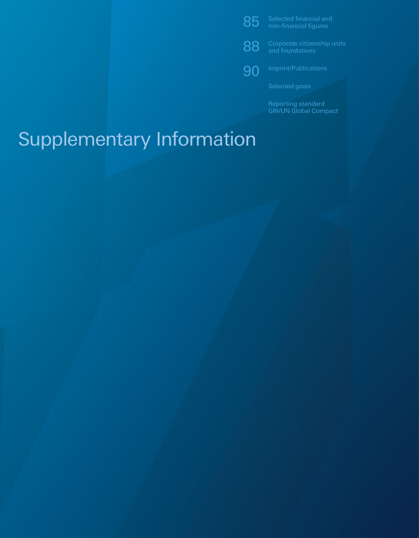85 Selected financial and non-financial figures

88 Corporate citizenship units<br>88 and foundations

**90** Imprint/Publications

**Reporting standard** GRI/UN Global Compact

# Supplementary Information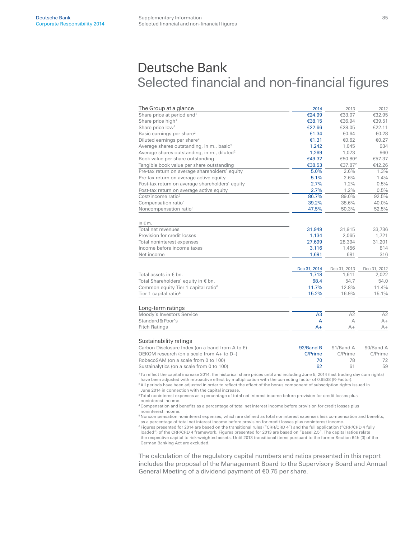# Deutsche Bank Selected financial and non-financial figures

| The Group at a glance                                                                                                                                                                                                                                                                                                                                                                                                                                                                                                                                                                       | 2014           | 2013                | 2012         |
|---------------------------------------------------------------------------------------------------------------------------------------------------------------------------------------------------------------------------------------------------------------------------------------------------------------------------------------------------------------------------------------------------------------------------------------------------------------------------------------------------------------------------------------------------------------------------------------------|----------------|---------------------|--------------|
| Share price at period end <sup>1</sup>                                                                                                                                                                                                                                                                                                                                                                                                                                                                                                                                                      | €24.99         | €33.07              | €32.95       |
| Share price high <sup>1</sup>                                                                                                                                                                                                                                                                                                                                                                                                                                                                                                                                                               | €38.15         | €36.94              | €39.51       |
| Share price low <sup>1</sup>                                                                                                                                                                                                                                                                                                                                                                                                                                                                                                                                                                | €22.66         | €28.05              | €22.11       |
| Basic earnings per share <sup>2</sup>                                                                                                                                                                                                                                                                                                                                                                                                                                                                                                                                                       | €1.34          | €0.64               | €0.28        |
| Diluted earnings per share <sup>2</sup>                                                                                                                                                                                                                                                                                                                                                                                                                                                                                                                                                     | €1.31          | €0.62               | €0.27        |
| Average shares outstanding, in m., basic <sup>2</sup>                                                                                                                                                                                                                                                                                                                                                                                                                                                                                                                                       | 1.242          | 1.045               | 934          |
| Average shares outstanding, in m., diluted <sup>2</sup>                                                                                                                                                                                                                                                                                                                                                                                                                                                                                                                                     | 1,269          | 1,073               | 960          |
| Book value per share outstanding                                                                                                                                                                                                                                                                                                                                                                                                                                                                                                                                                            | €49.32         | €50.80 <sup>2</sup> | €57.37       |
| Tangible book value per share outstanding                                                                                                                                                                                                                                                                                                                                                                                                                                                                                                                                                   | €38.53         | €37.87 <sup>2</sup> | €42.26       |
| Pre-tax return on average shareholders' equity                                                                                                                                                                                                                                                                                                                                                                                                                                                                                                                                              | 5.0%           | 2.6%                | 1.3%         |
| Pre-tax return on average active equity                                                                                                                                                                                                                                                                                                                                                                                                                                                                                                                                                     | 5.1%           | 2.6%                | 1.4%         |
| Post-tax return on average shareholders' equity                                                                                                                                                                                                                                                                                                                                                                                                                                                                                                                                             | 2.7%           | 1.2%                | 0.5%         |
| Post-tax return on average active equity                                                                                                                                                                                                                                                                                                                                                                                                                                                                                                                                                    | 2.7%           | 1.2%                | 0.5%         |
| Cost/income ratio <sup>3</sup>                                                                                                                                                                                                                                                                                                                                                                                                                                                                                                                                                              | 86.7%          | 89.0%               | 92.5%        |
| Compensation ratio <sup>4</sup>                                                                                                                                                                                                                                                                                                                                                                                                                                                                                                                                                             | 39.2%          | 38.6%               | 40.0%        |
| Noncompensation ratio <sup>5</sup>                                                                                                                                                                                                                                                                                                                                                                                                                                                                                                                                                          | 47.5%          | 50.3%               | 52.5%        |
| In $\notin$ m.                                                                                                                                                                                                                                                                                                                                                                                                                                                                                                                                                                              |                |                     |              |
| Total net revenues                                                                                                                                                                                                                                                                                                                                                                                                                                                                                                                                                                          | 31,949         | 31,915              | 33,736       |
| Provision for credit losses                                                                                                                                                                                                                                                                                                                                                                                                                                                                                                                                                                 | 1,134          | 2,065               | 1,721        |
| Total noninterest expenses                                                                                                                                                                                                                                                                                                                                                                                                                                                                                                                                                                  | 27,699         | 28,394              | 31,201       |
| Income before income taxes                                                                                                                                                                                                                                                                                                                                                                                                                                                                                                                                                                  | 3,116          | 1,456               | 814          |
| Net income                                                                                                                                                                                                                                                                                                                                                                                                                                                                                                                                                                                  | 1,691          | 681                 | 316          |
|                                                                                                                                                                                                                                                                                                                                                                                                                                                                                                                                                                                             | Dec 31, 2014   | Dec 31, 2013        | Dec 31, 2012 |
| Total assets in $\epsilon$ bn.                                                                                                                                                                                                                                                                                                                                                                                                                                                                                                                                                              | 1,718          | 1,611               | 2,022        |
| Total Shareholders' equity in $\epsilon$ bn.                                                                                                                                                                                                                                                                                                                                                                                                                                                                                                                                                | 68.4           | 54.7                | 54.0         |
| Common equity Tier 1 capital ratio <sup>6</sup>                                                                                                                                                                                                                                                                                                                                                                                                                                                                                                                                             | 11.7%          | 12.8%               | 11.4%        |
| Tier 1 capital ratio <sup>6</sup>                                                                                                                                                                                                                                                                                                                                                                                                                                                                                                                                                           | 15.2%          | 16.9%               | 15.1%        |
| Long-term ratings                                                                                                                                                                                                                                                                                                                                                                                                                                                                                                                                                                           |                |                     |              |
| Moody's Investors Service                                                                                                                                                                                                                                                                                                                                                                                                                                                                                                                                                                   | A <sub>3</sub> | A2                  | A2           |
| Standard & Poor's                                                                                                                                                                                                                                                                                                                                                                                                                                                                                                                                                                           | A              | A                   | $A+$         |
| <b>Fitch Ratings</b>                                                                                                                                                                                                                                                                                                                                                                                                                                                                                                                                                                        | $A+$           | $A+$                | $A+$         |
| Sustainability ratings                                                                                                                                                                                                                                                                                                                                                                                                                                                                                                                                                                      |                |                     |              |
| Carbon Disclosure Index (on a band from A to E)                                                                                                                                                                                                                                                                                                                                                                                                                                                                                                                                             | 92/Band B      | 91/Band A           | 90/Band A    |
| OEKOM research (on a scale from A+ to D-)                                                                                                                                                                                                                                                                                                                                                                                                                                                                                                                                                   | C/Prime        | C/Prime             | C/Prime      |
| RobecoSAM (on a scale from 0 to 100)                                                                                                                                                                                                                                                                                                                                                                                                                                                                                                                                                        | 70             | 78                  | 72           |
| Sustainalytics (on a scale from 0 to 100)                                                                                                                                                                                                                                                                                                                                                                                                                                                                                                                                                   | 62             | 61                  | 59           |
| To reflect the capital increase 2014, the historical share prices until and including June 5, 2014 (last trading day cum rights)<br>have been adjusted with retroactive effect by multiplication with the correcting factor of 0.9538 (R-Factor).<br><sup>2</sup> All periods have been adjusted in order to reflect the effect of the bonus component of subscription rights issued in<br>June 2014 in connection with the capital increase.<br>$3$ Total noninterest expenses as a percentage of total net interest income before provision for credit losses plus<br>noninterest income. |                |                     |              |

<sup>4</sup> Compensation and benefits as a percentage of total net interest income before provision for credit losses plus noninterest income.

<sup>5</sup> Noncompensation noninterest expenses, which are defined as total noninterest expenses less compensation and benefits, as a percentage of total net interest income before provision for credit losses plus noninterest income

<sup>6</sup> Figures presented for 2014 are based on the transitional rules ("CRR/CRD 4") and the full application ("CRR/CRD 4 fully loaded") of the CRR/CRD 4 framework. Figures presented for 2013 are based on "Basel 2.5". The capital ratios relate the respective capital to risk-weighted assets. Until 2013 transitional items pursuant to the former Section 64h (3) of the German Banking Act are excluded.

The calculation of the regulatory capital numbers and ratios presented in this report includes the proposal of the Management Board to the Supervisory Board and Annual General Meeting of a dividend payment of €0.75 per share.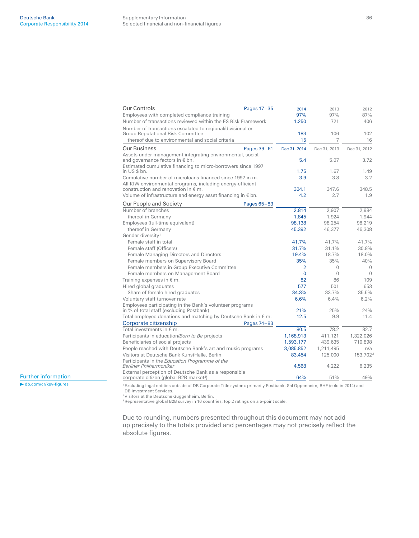| Our Controls                                                                                                 | Pages 17-35 | 2014           | 2013           | 2012                 |
|--------------------------------------------------------------------------------------------------------------|-------------|----------------|----------------|----------------------|
| Employees with completed compliance training                                                                 |             | 97%            | 97%            | 87%                  |
| Number of transactions reviewed within the ES Risk Framework                                                 |             | 1,250          | 721            | 406                  |
| Number of transactions escalated to regional/divisional or                                                   |             |                |                |                      |
| Group Reputational Risk Committee                                                                            |             | 183            | 106            | 102                  |
| thereof due to environmental and social criteria                                                             |             | 15             | 7              | 16                   |
| Our Business                                                                                                 | Pages 39-61 | Dec 31, 2014   | Dec 31, 2013   | Dec 31, 2012         |
| Assets under management integrating environmental, social,<br>and governance factors in € bn.                |             | 5.4            | 5.07           | 3.72                 |
| Estimated cumulative financing to micro-borrowers since 1997                                                 |             |                |                |                      |
| in US \$ bn.                                                                                                 |             | 1.75           | 1.67           | 1.49                 |
| Cumulative number of microloans financed since 1997 in m.                                                    |             | 3.9            | 3.8            | 3.2                  |
| All KfW environmental programs, including energy-efficient                                                   |             |                |                |                      |
| construction and renovation in $\epsilon$ m.                                                                 |             | 304.1          | 347.6          | 348.5                |
| Volume of infrastructure and energy asset financing in € bn.                                                 |             | 4.2            | 2.7            | 1.9                  |
| Our People and Society                                                                                       | Pages 65-83 |                |                |                      |
| Number of branches                                                                                           |             | 2,814          | 2,907          | 2,984                |
| thereof in Germany                                                                                           |             | 1,845          | 1,924          | 1,944                |
| Employees (full-time equivalent)                                                                             |             | 98,138         | 98,254         | 98,219               |
| thereof in Germany                                                                                           |             | 45,392         | 46,377         | 46,308               |
| Gender diversity <sup>1</sup>                                                                                |             |                |                |                      |
| Female staff in total                                                                                        |             | 41.7%          | 41.7%          | 41.7%                |
| Female staff (Officers)                                                                                      |             | 31.7%          | 31.1%          | 30.8%                |
| Female Managing Directors and Directors                                                                      |             | 19.4%          | 18.7%          | 18.0%                |
| Female members on Supervisory Board                                                                          |             | 35%            | 35%            | 40%                  |
| Female members in Group Executive Committee                                                                  |             | $\overline{2}$ | $\Omega$       | $\Omega$             |
| Female members on Management Board                                                                           |             | $\Omega$       | $\overline{0}$ | $\Omega$             |
| Training expenses in $\epsilon$ m.                                                                           |             | 82             | 86             | 109                  |
| Hired global graduates                                                                                       |             | 577            | 501            | 653                  |
| Share of female hired graduates                                                                              |             | 34.3%          | 33.7%          | 35.5%                |
| Voluntary staff turnover rate                                                                                |             | 6.6%           | 6.4%           | 6.2%                 |
| Employees participating in the Bank's volunteer programs<br>in % of total staff (excluding Postbank)         |             | 21%            | 25%            | 24%                  |
| Total employee donations and matching by Deutsche Bank in $\epsilon$ m.                                      |             | 12.5           | 9.9            | 11.4                 |
| Corporate citizenship                                                                                        | Pages 74-83 |                |                |                      |
| Total investments in $\epsilon$ m.                                                                           |             | 80.5           | 78.2           | 82.7                 |
| Participants in education/Born to Be projects                                                                |             | 1,168,913      | 411,121        | 1,322,026            |
| Beneficiaries of social projects                                                                             |             | 1,593,177      | 439,635        | 710,898              |
| People reached with Deutsche Bank's art and music programs                                                   |             | 3,085,852      | 1,211,495      | n/a                  |
| Visitors at Deutsche Bank KunstHalle, Berlin                                                                 |             | 83,454         | 125,000        | 153,702 <sup>2</sup> |
| Participants in the Education Programme of the                                                               |             |                |                |                      |
| Berliner Philharmoniker                                                                                      |             | 4,568          | 4,222          | 6,235                |
| External perception of Deutsche Bank as a responsible<br>corporate citizen (global B2B market <sup>3</sup> ) |             | 64%            | 51%            | 49%                  |

Further information

 $\blacktriangleright$  db.com/cr/key-figures

1 Excluding legal entities outside of DB Corporate Title system: primarily Postbank, Sal Oppenheim, BHF (sold in 2014) and DB Investment Services.

2 Visitors at the Deutsche Guggenheim, Berlin.

3 Representative global B2B survey in 16 countries; top 2 ratings on a 5-point scale.

Due to rounding, numbers presented throughout this document may not add up precisely to the totals provided and percentages may not precisely reflect the absolute figures.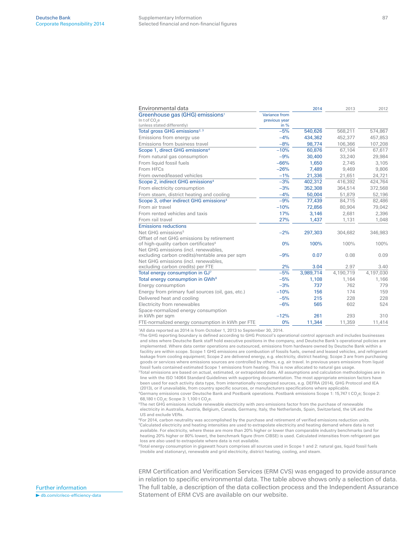| Environmental data                                 |               | 2014      | 2013      | 2012      |
|----------------------------------------------------|---------------|-----------|-----------|-----------|
| Greenhouse gas (GHG) emissions <sup>1</sup>        | Variance from |           |           |           |
| In t of CO <sub>2</sub> e                          | previous year |           |           |           |
| (unless stated differently)                        | in $%$        |           |           |           |
| Total gross GHG emissions <sup>2, 3</sup>          | $-5%$         | 540,626   | 568,211   | 574,867   |
| Emissions from energy use                          | $-4%$         | 434.362   | 452.377   | 457,853   |
| Emissions from business travel                     | $-8%$         | 98,774    | 106,366   | 107,208   |
| Scope 1, direct GHG emissions <sup>4</sup>         | $-10%$        | 60,876    | 67,104    | 67,617    |
| From natural gas consumption                       | $-9%$         | 30,400    | 33,240    | 29,984    |
| From liquid fossil fuels                           | $-66%$        | 1,650     | 2,745     | 3,105     |
| From HFCs                                          | $-26%$        | 7,489     | 9,469     | 9,806     |
| From owned/leased vehicles                         | $-1%$         | 21,336    | 21,651    | 24,721    |
| Scope 2, indirect GHG emissions <sup>4</sup>       | $-3%$         | 402,312   | 416,392   | 424,764   |
| From electricity consumption                       | $-3%$         | 352,308   | 364,514   | 372,568   |
| From steam, district heating and cooling           | $-4%$         | 50,004    | 51,879    | 52,196    |
| Scope 3, other indirect GHG emissions <sup>4</sup> | $-9%$         | 77,439    | 84,715    | 82,486    |
| From air travel                                    | $-10%$        | 72,856    | 80,904    | 79,042    |
| From rented vehicles and taxis                     | 17%           | 3,146     | 2,681     | 2,396     |
| From rail travel                                   | 27%           | 1,437     | 1,131     | 1,048     |
| <b>Emissions reductions</b>                        |               |           |           |           |
| Net GHG emissions <sup>5</sup>                     | $-2%$         | 297,303   | 304,682   | 346,983   |
| Offset of net GHG emissions by retirement          |               |           |           |           |
| of high-quality carbon certificates <sup>6</sup>   | 0%            | 100%      | 100%      | 100%      |
| Net GHG emissions (incl. renewables,               |               |           |           |           |
| excluding carbon credits)/rentable area per sqm    | $-9%$         | 0.07      | 0.08      | 0.09      |
| Net GHG emissions (incl. renewables.               |               |           |           |           |
| excluding carbon credits) per FTE                  | 2%            | 3.04      | 2.97      | 3.40      |
| Total energy consumption in GJ7                    | $-5%$         | 3,989,714 | 4,190,719 | 4,197,030 |
| Total energy consumption in GWh <sup>8</sup>       | $-5%$         | 1,108     | 1,164     | 1,166     |
| Energy consumption                                 | $-3%$         | 737       | 762       | 779       |
| Energy from primary fuel sources (oil, gas, etc.)  | $-10%$        | 156       | 174       | 159       |
| Delivered heat and cooling                         | $-5%$         | 215       | 228       | 228       |
| Electricity from renewables                        | $-6%$         | 565       | 602       | 524       |
| Space-normalized energy consumption                |               |           |           |           |
| in kWh per sqm                                     | $-12%$        | 261       | 293       | 310       |
| FTE-normalized energy consumption in kWh per FTE   | 0%            | 11.344    | 11,359    | 11,414    |

1 All data reported as 2014 is from October 1, 2013 to September 30, 2014.

<sup>2</sup>The GHG reporting boundary is defined according to GHG Protocol's operational control approach and includes businesses and sites where Deutsche Bank staff hold executive positions in the company, and Deutsche Bank's operational policies are implemented. Where data center operations are outsourced, emissions from hardware owned by Deutsche Bank within a facility are within scope. Scope 1 GHG emissions are combustion of fossils fuels, owned and leased vehicles, and refrigerant leakage from cooling equipment; Scope 2 are delivered energy, e.g. electricity, district heating; Scope 3 are from purchasing goods or services where emissions sources are controlled by others, e.g. air travel. In previous years emissions from liquid fossil fuels contained estimated Scope 1 emissions from heating. This is now allocated to natural gas usage.

3Total emissions are based on actual, estimated, or extrapolated data. All assumptions and calculation methodologies are in line with the ISO 14064 Standard Guidelines with supporting documentation. The most appropriate emission factors have been used for each activity data type, from internationally recognized sources, e.g. DEFRA (2014), GHG Protocol and IEA (2013), or if unavailable, from country specific sources, or manufacturers specifications where applicable

 $4$ Germany emissions cover Deutsche Bank and Postbank operations. Postbank emissions Scope 1: 15,747 t CO<sub>2</sub>e; Scope 2: 68,180 t CO<sub>2</sub>e; Scope 3: 1,100 t CO<sub>2</sub>e.

5The net GHG emissions include renewable electricity with zero emissions factor from the purchase of renewable electricity in Australia, Austria, Belgium, Canada, Germany, Italy, the Netherlands, Spain, Switzerland, the UK and the US and exclude VERs.

<sup>6</sup>For 2014, carbon neutrality was accomplished by the purchase and retirement of verified emissions reduction units. Calculated electricity and heating intensities are used to extrapolate electricity and heating demand where data is not available. For electricity, where these are more than 20% higher or lower than comparable industry benchmarks (and for heating 20% higher or 80% lower), the benchmark figure (from CIBSE) is used. Calculated intensities from refrigerant gas loss are also used to extrapolate where data is not available.

8Total energy consumption in gigawatt hours comprises all sources used in Scope 1 and 2: natural gas, liquid fossil fuels (mobile and stationary), renewable and grid electricity, district heating, cooling, and steam.

ERM Certification and Verification Services (ERM CVS) was engaged to provide assurance in relation to specific environmental data. The table above shows only a selection of data. The full table, a description of the data collection process and the Independent Assurance Statement of ERM CVS are available on our website.

Further information  $\blacktriangleright$  db.com/cr/eco-efficiency-data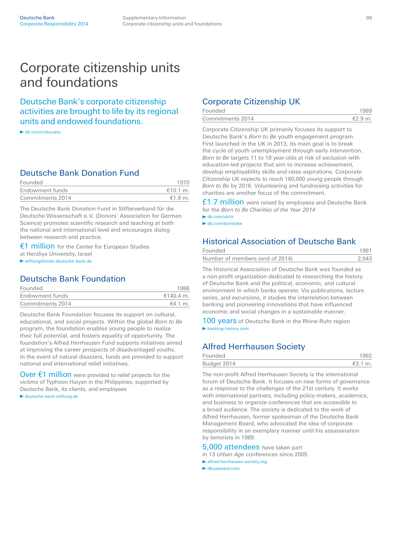## Corporate citizenship units and foundations

Deutsche Bank's corporate citizenship activities are brought to life by its regional units and endowed foundations.

▶ db.com/cr/society

### Corporate Citizenship UK

| Founded          |         |
|------------------|---------|
| Commitments 2014 | €2.9 m. |

Corporate Citizenship UK primarily focuses its support to Deutsche Bank's *Born to Be* youth engagement program. First launched in the UK in 2013, its main goal is to break the cycle of youth unemployment through early intervention. *Born to Be* targets 11 to 18 year-olds at risk of exclusion with education-led projects that aim to increase achievement, develop employability skills and raise aspirations. Corporate Citizenship UK expects to reach 160,000 young people through *Born to Be* by 2016. Volunteering and fundraising activities for charities are another focus of the commitment.

£1.7 million were raised by employees and Deutsche Bank for the *Born to Be Charities of the Year 2014*

 $\blacktriangleright$  db.com/uk/cr

 $\blacktriangleright$  db.com/borntobe

### Historical Association of Deutsche Bank

| Founded                         | 1991  |
|---------------------------------|-------|
| Number of members (end of 2014) | 2.043 |

The Historical Association of Deutsche Bank was founded as a non-profit organization dedicated to researching the history of Deutsche Bank and the political, economic, and cultural environment in which banks operate. Via publications, lecture series, and excursions, it studies the interrelation between banking and pioneering innovations that have influenced economic and social changes in a sustainable manner.

100 years of Deutsche Bank in the Rhine-Ruhr region banking-history.com

## Alfred Herrhausen Society

| Founded     |         |
|-------------|---------|
| Budget 2014 | €3.1 m. |

The non-profit Alfred Herrhausen Society is the international forum of Deutsche Bank. It focuses on new forms of governance as a response to the challenges of the 21st century. It works with international partners, including policy-makers, academics, and business to organize conferences that are accessible to a broad audience. The society is dedicated to the work of Alfred Herrhausen, former spokesman of the Deutsche Bank Management Board, who advocated the idea of corporate responsibility in an exemplary manner until his assassination by terrorists in 1989.

5,000 attendees have taken part

in 13 *Urban Age* conferences since 2005

alfred-herrhausen- society.org

dbuaaward.com

### Deutsche Bank Donation Fund

| Founded          | 1970     |
|------------------|----------|
| Endowment funds  | €10.1 m. |
| Commitments 2014 | €1.9 m.  |

The Deutsche Bank Donation Fund in Stifterverband für die Deutsche Wissenschaft e. V. (Donors' Association for German Science) promotes scientific research and teaching at both the national and international level and encourages dialog between research and practice.

€1 million for the Center for European Studies at Herzliya University, Israel

stiftungsfonds- deutsche-bank.de

## Deutsche Bank Foundation

| Founded          | 1986      |
|------------------|-----------|
| Endowment funds  | €140.4 m. |
| Commitments 2014 | $€4.1$ m. |

Deutsche Bank Foundation focuses its support on cultural, educational, and social projects. Within the global *Born to Be* program, the foundation enables young people to realize their full potential, and fosters equality of opportunity. The foundation's Alfred Herrhausen Fund supports initiatives aimed at improving the career prospects of disadvantaged youths. In the event of natural disasters, funds are provided to support national and international relief initiatives.

Over  $\epsilon$ 1 million were provided to relief projects for the victims of Typhoon Haiyan in the Philippines, supported by Deutsche Bank, its clients, and employees deutsche-bank-stiftung.de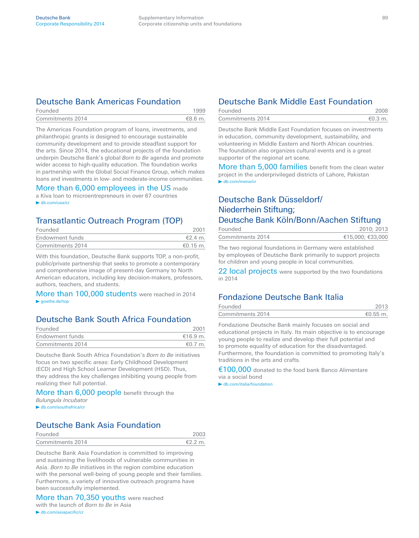## Deutsche Bank Americas Foundation

| Founded          |        |
|------------------|--------|
| Commitments 2014 | €8.6 m |

The Americas Foundation program of loans, investments, and philanthropic grants is designed to encourage sustainable community development and to provide steadfast support for the arts. Since 2014, the educational projects of the foundation underpin Deutsche Bank's global *Born to Be* agenda and promote wider access to high-quality education. The foundation works in partnership with the Global Social Finance Group, which makes loans and investments in low- and moderate-income communities.

### More than 6,000 employees in the US made

a Kiva loan to microentrepreneurs in over 67 countries  $\blacktriangleright$  db.com/usa/cr

## Transatlantic Outreach Program (TOP)

| Founded          |                 |
|------------------|-----------------|
| Endowment funds  | $\epsilon$ 24 m |
| Commitments 2014 | €0.15 m.        |

With this foundation, Deutsche Bank supports TOP, a non-profit, public/private partnership that seeks to promote a contemporary and comprehensive image of present-day Germany to North American educators, including key decision-makers, professors, authors, teachers, and students.

More than 100,000 students were reached in 2014  $\blacktriangleright$  goethe.de/top

## Deutsche Bank South Africa Foundation

| Founded          |              |
|------------------|--------------|
| Endowment funds  | €16.9 m.     |
| Commitments 2014 | $\neq 0$ 7 m |

Deutsche Bank South Africa Foundation's *Born to Be* initiatives focus on two specific areas: Early Childhood Development (ECD) and High School Learner Development (HSD). Thus, they address the key challenges inhibiting young people from realizing their full potential.

### More than 6,000 people benefit through the *Bulungula Incubator*

► db.com/southafrica/cr

## Deutsche Bank Asia Foundation

| Founded          | 2003      |
|------------------|-----------|
| Commitments 2014 | $€2.2$ m. |

Deutsche Bank Asia Foundation is committed to improving and sustaining the livelihoods of vulnerable communities in Asia. *Born to Be* initiatives in the region combine education with the personal well-being of young people and their families. Furthermore, a variety of innovative outreach programs have been successfully implemented.

More than 70,350 youths were reached with the launch of *Born to Be* in Asia  $\blacktriangleright$  db.com/asiapacific/cr

## Deutsche Bank Middle East Foundation

| Founded          |           |
|------------------|-----------|
| Commitments 2014 | $€0.3$ m. |

Deutsche Bank Middle East Foundation focuses on investments in education, community development, sustainability, and volunteering in Middle Eastern and North African countries. The foundation also organizes cultural events and is a great supporter of the regional art scene.

More than 5,000 families benefit from the clean water project in the underprivileged districts of Lahore, Pakistan ▶ db.com/mena/cr

## Deutsche Bank Düsseldorf/ Niederrhein Stiftung; Deutsche Bank Köln/Bonn/Aachen Stiftung

| Founded          | 2010: 2013       |
|------------------|------------------|
| Commitments 2014 | €15,000; €33,000 |

The two regional foundations in Germany were established by employees of Deutsche Bank primarily to support projects for children and young people in local communities.

22 local projects were supported by the two foundations in 2014

## Fondazione Deutsche Bank Italia

| Founded          | 2013     |
|------------------|----------|
| Commitments 2014 | €0.55 m. |

Fondazione Deutsche Bank mainly focuses on social and educational projects in Italy. Its main objective is to encourage young people to realize and develop their full potential and to promote equality of education for the disadvantaged. Furthermore, the foundation is committed to promoting Italy's traditions in the arts and crafts.

€100,000 donated to the food bank Banco Alimentare via a social bond

 $\blacktriangleright$  db.com/italia/foundation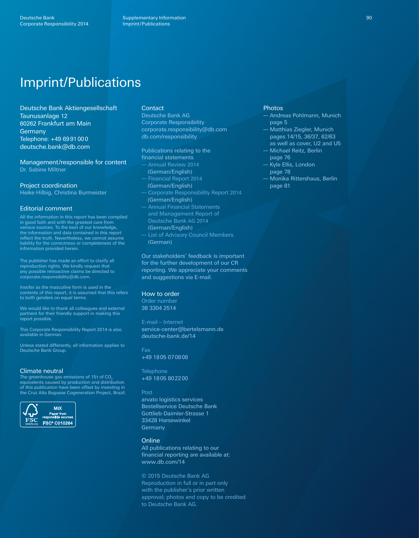# **Imprint/Publications**

Deutsche Bank Aktiengesellschaft Taunusanlage 12 60262 Frankfurt am Main Germany Telephone: +49 69 91 00 0 deutsche.bank@db.com

Management/responsible for content Dr. Sabine Miltner

Project coordination

Heike Hilbig, Christina Burmeister

### Editorial comment

All the information in this report has been compiled in good faith and with the greatest care from various sources. To the best of our knowledge, the information and data contained in this report reflect the truth. Nevertheless, we cannot assume liability for the correctness or completeness of the information provided herein.

The publisher has made an effort to clarify all reproduction rights. We kindly request that any possible retroactive claims be directed to corporate.responsibility@db.com.

Insofar as the masculine form is used in the contents of this report, it is assumed that this refers to both genders on equal terms.

We would like to thank all colleagues and external partners for their friendly support in making this report possible.

This Corporate Responsibility Report 2014 is also available in German.

Unless stated differently, all information applies to<br>Deutsche Bank Group.

#### Climate neutral

The greenhouse gas emissions of 15t of CO<sub>2</sub> equivalents caused by production and distribution of this publication have been offset by investing in the Cruz Alta Bagasse Cogeneration Project, Brazil.



### Contact

Deutsche Bank AG Corporate Responsibility corporate.responsibility@db.com db.com/responsibility

### Publications relating to the

- financial statements Annual Review 2014 (German/English) Financial Report 2014 (German/English)
- Corporate Responsibility Report 2014 (German/English)
- Annual Financial Statements and Management Report of Deutsche Bank AG 2014 (German/English)
- List of Advisory Council Members (German)

Our stakeholders' feedback is important for the further development of our CR reporting. We appreciate your comments and suggestions via E-mail.

#### How to order

Order number 38 3304 2514

E-mail – Internet service-center@bertelsmann.de deutsche-bank.de/14

Fax +49 18 05 07 08 08

**Telephone** +49 18 05 80 22 00

#### Post

arvato logistics services Bestellservice Deutsche Bank Gottlieb-Daimler-Strasse 1 33428 Harsewinkel Germany

### **Online**

All publications relating to our financial reporting are available at: www.db.com /14

© 2015 Deutsche Bank AG Reproduction in full or in part only with the publisher's prior written approval; photos and copy to be credited to Deutsche Bank AG.

### Photos

- Andreas Pohlmann, Munich page 5
- Matthias Ziegler, Munich pages 14/15, 36/37, 62/63 as well as cover, U2 and U5
- Michael Reitz, Berlin page 76
- Kyle Ellis, London page 78
- Monika Rittershaus, Berlin page 81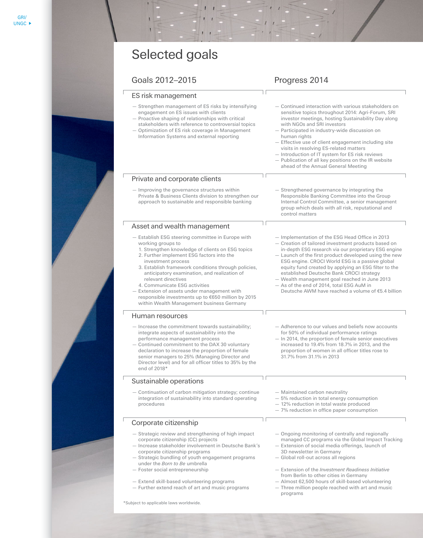### GRI/UN Global Compact GRI /UN Com Goals 2012–2015 Progress 2014

| Selected goals                                                                                                                                                                                                                                                                                                                                                                                                                                                                                                 |                                                                                                                                                                                                                                                                                                                                                                                                                                                                                                                                    |
|----------------------------------------------------------------------------------------------------------------------------------------------------------------------------------------------------------------------------------------------------------------------------------------------------------------------------------------------------------------------------------------------------------------------------------------------------------------------------------------------------------------|------------------------------------------------------------------------------------------------------------------------------------------------------------------------------------------------------------------------------------------------------------------------------------------------------------------------------------------------------------------------------------------------------------------------------------------------------------------------------------------------------------------------------------|
| Goals 2012-2015                                                                                                                                                                                                                                                                                                                                                                                                                                                                                                | Progress 2014                                                                                                                                                                                                                                                                                                                                                                                                                                                                                                                      |
| ES risk management                                                                                                                                                                                                                                                                                                                                                                                                                                                                                             |                                                                                                                                                                                                                                                                                                                                                                                                                                                                                                                                    |
| - Strengthen management of ES risks by intensifying<br>engagement on ES issues with clients<br>- Proactive shaping of relationships with critical<br>stakeholders with reference to controversial topics<br>- Optimization of ES risk coverage in Management<br>Information Systems and external reporting                                                                                                                                                                                                     | - Continued interaction with various stakeholders on<br>sensitive topics throughout 2014: Agri-Forum, SRI<br>investor meetings, hosting Sustainability Day along<br>with NGOs and SRI investors<br>- Participated in industry-wide discussion on<br>human rights<br>- Effective use of client engagement including site<br>visits in resolving ES-related matters<br>- Introduction of IT system for ES risk reviews<br>- Publication of all key positions on the IR website<br>ahead of the Annual General Meeting                |
| Private and corporate clients                                                                                                                                                                                                                                                                                                                                                                                                                                                                                  |                                                                                                                                                                                                                                                                                                                                                                                                                                                                                                                                    |
| - Improving the governance structures within<br>Private & Business Clients division to strengthen our<br>approach to sustainable and responsible banking                                                                                                                                                                                                                                                                                                                                                       | - Strengthened governance by integrating the<br>Responsible Banking Committee into the Group<br>Internal Control Committee, a senior management<br>group which deals with all risk, reputational and<br>control matters                                                                                                                                                                                                                                                                                                            |
| Asset and wealth management                                                                                                                                                                                                                                                                                                                                                                                                                                                                                    |                                                                                                                                                                                                                                                                                                                                                                                                                                                                                                                                    |
| - Establish ESG steering committee in Europe with<br>working groups to<br>1. Strengthen knowledge of clients on ESG topics<br>2. Further implement ESG factors into the<br>investment process<br>3. Establish framework conditions through policies,<br>anticipatory examination, and realization of<br>relevant directives<br>4. Communicate ESG activities<br>- Extension of assets under management with<br>responsible investments up to €650 million by 2015<br>within Wealth Management business Germany | - Implementation of the ESG Head Office in 2013<br>- Creation of tailored investment products based on<br>in-depth ESG research via our proprietary ESG engine<br>- Launch of the first product developed using the new<br>ESG engine. CROCI World ESG is a passive global<br>equity fund created by applying an ESG filter to the<br>established Deutsche Bank CROCI strategy<br>- Wealth management goal reached in June 2013<br>- As of the end of 2014, total ESG AuM in<br>Deutsche AWM have reached a volume of €5.4 billion |
| Human resources                                                                                                                                                                                                                                                                                                                                                                                                                                                                                                |                                                                                                                                                                                                                                                                                                                                                                                                                                                                                                                                    |
| - Increase the commitment towards sustainability;<br>integrate aspects of sustainability into the<br>performance management process<br>- Continued commitment to the DAX 30 voluntary<br>declaration to increase the proportion of female<br>senior managers to 25% (Managing Director and<br>Director level) and for all officer titles to 35% by the<br>end of 2018*                                                                                                                                         | - Adherence to our values and beliefs now accounts<br>for 50% of individual performance ratings<br>- In 2014, the proportion of female senior executives<br>increased to 19.4% from 18.7% in 2013, and the<br>proportion of women in all officer titles rose to<br>31.7% from 31.1% in 2013                                                                                                                                                                                                                                        |
| Sustainable operations                                                                                                                                                                                                                                                                                                                                                                                                                                                                                         |                                                                                                                                                                                                                                                                                                                                                                                                                                                                                                                                    |
| - Continuation of carbon mitigation strategy; continue<br>integration of sustainability into standard operating<br>procedures                                                                                                                                                                                                                                                                                                                                                                                  | - Maintained carbon neutrality<br>- 5% reduction in total energy consumption<br>- 12% reduction in total waste produced<br>- 7% reduction in office paper consumption                                                                                                                                                                                                                                                                                                                                                              |
| Corporate citizenship                                                                                                                                                                                                                                                                                                                                                                                                                                                                                          |                                                                                                                                                                                                                                                                                                                                                                                                                                                                                                                                    |
| - Strategic review and strengthening of high impact<br>corporate citizenship (CC) projects<br>- Increase stakeholder involvement in Deutsche Bank's<br>corporate citizenship programs<br>- Strategic bundling of youth engagement programs<br>under the Born to Be umbrella<br>- Foster social entrepreneurship<br>- Extend skill-based volunteering programs<br>- Further extend reach of art and music programs                                                                                              | - Ongoing monitoring of centrally and regionally<br>managed CC programs via the Global Impact Tracking<br>- Extension of social media offerings, launch of<br>3D newsletter in Germany<br>- Global roll-out across all regions<br>- Extension of the Investment Readiness Initiative<br>from Berlin to other cities in Germany<br>- Almost 62,500 hours of skill-based volunteering<br>- Three million people reached with art and music<br>programs                                                                               |

\*Subject to applicable laws worldwide.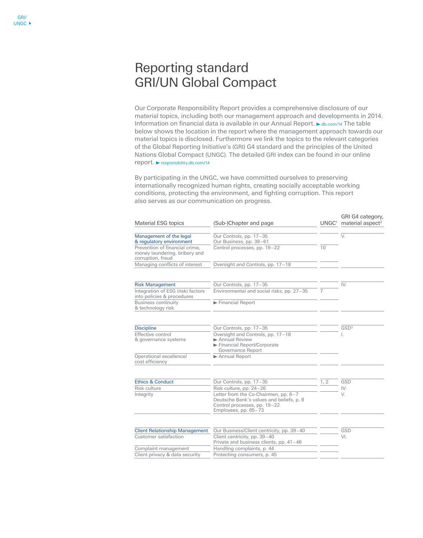## Reporting standard GRI/UN Global Compact

Our Corporate Responsibility Report provides a comprehensive disclosure of our material topics, including both our management approach and developments in 2014. Information on financial data is available in our Annual Report. ► db.com/14 The table below shows the location in the report where the management approach towards our material topics is disclosed. Furthermore we link the topics to the relevant categories of the Global Reporting Initiative's (GRI) G4 standard and the principles of the United Nations Global Compact (UNGC). The detailed GRI index can be found in our online  $report.$  responsibility.db.com/14

By participating in the UNGC, we have committed ourselves to preserving internationally recognized human rights, creating socially acceptable working conditions, protecting the environment, and fighting corruption. This report also serves as our communication on progress.

| Material ESG topics                                                                  | (Sub-)Chapter and page                                                                                                                   | UNGC <sup>1</sup> | GRI G4 category,<br>material aspect <sup>2</sup> |
|--------------------------------------------------------------------------------------|------------------------------------------------------------------------------------------------------------------------------------------|-------------------|--------------------------------------------------|
| Management of the legal<br>& regulatory environment                                  | Our Controls, pp. 17-35<br>Our Business, pp. 39-61                                                                                       |                   | V.                                               |
| Prevention of financial crime.<br>money laundering, bribery and<br>corruption, fraud | Control processes, pp. 19-22                                                                                                             | 10                |                                                  |
| Managing conflicts of interest                                                       | Oversight and Controls, pp. 17-18                                                                                                        |                   |                                                  |
| <b>Risk Management</b>                                                               | Our Controls, pp. 17-35                                                                                                                  |                   | IV.                                              |
| Integration of ESG (risk) factors<br>into policies & procedures                      | Environmental and social risks, pp. 27-35                                                                                                | 7                 |                                                  |
| <b>Business continuity</b><br>& technology risk                                      | Financial Report                                                                                                                         |                   |                                                  |
| <b>Discipline</b>                                                                    | Our Controls, pp. 17-35                                                                                                                  |                   | GSD <sup>3</sup>                                 |
| Effective control<br>& governance systems                                            | Oversight and Controls, pp. 17-18<br>Annual Review<br>Financial Report/Corporate<br>Governance Report                                    |                   |                                                  |
| Operational excellence/<br>cost efficiency                                           | Annual Report                                                                                                                            |                   |                                                  |
| <b>Ethics &amp; Conduct</b>                                                          | Our Controls, pp. 17-35                                                                                                                  | 1, 2              | GSD                                              |
| Risk culture                                                                         | Risk culture, pp. 24-26                                                                                                                  |                   | IV.                                              |
| Integrity                                                                            | Letter from the Co-Chairmen, pp. 6-7<br>Deutsche Bank's values and beliefs, p. 8<br>Control processes, pp. 19-22<br>Employees, pp. 65-73 |                   | V.                                               |
|                                                                                      |                                                                                                                                          |                   | GSD                                              |
| <b>Client Relationship Management</b><br>Customer satisfaction                       | Our Business/Client centricity, pp. 39-40<br>Client centricity, pp. 39-40<br>Private and business clients, pp. 41-46                     |                   | VI.                                              |
| Complaint management                                                                 | Handling complaints, p. 44                                                                                                               |                   |                                                  |
| Client privacy & data security                                                       | Protecting consumers, p. 45                                                                                                              |                   |                                                  |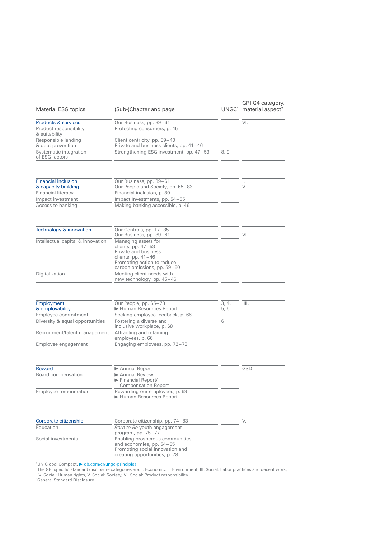| Material ESG topics                                  | (Sub-)Chapter and page                                                                                                                                   | UNGC <sup>1</sup> | GRI G4 category,<br>material aspect <sup>2</sup> |
|------------------------------------------------------|----------------------------------------------------------------------------------------------------------------------------------------------------------|-------------------|--------------------------------------------------|
| Products & services                                  | Our Business, pp. 39-61                                                                                                                                  |                   | VI.                                              |
| Product responsibility<br>& suitability              | Protecting consumers, p. 45                                                                                                                              |                   |                                                  |
| Responsible lending<br>& debt prevention             | Client centricity, pp. 39-40<br>Private and business clients, pp. 41-46                                                                                  |                   |                                                  |
| Systematic integration<br>of ESG factors             | Strengthening ESG investment, pp. 47-53                                                                                                                  | 8,9               |                                                  |
| <b>Financial inclusion</b>                           | Our Business, pp. 39-61                                                                                                                                  |                   | Ι.                                               |
| & capacity building                                  | Our People and Society, pp. 65-83                                                                                                                        |                   | V.                                               |
| Financial literacy                                   | Financial inclusion, p. 80                                                                                                                               |                   |                                                  |
| Impact investment                                    | Impact Investments, pp. 54-55                                                                                                                            |                   |                                                  |
| Access to banking                                    | Making banking accessible, p. 46                                                                                                                         |                   |                                                  |
| Technology & innovation                              | Our Controls, pp. 17-35<br>Our Business, pp. 39-61                                                                                                       |                   | I.<br>VI.                                        |
| Intellectual capital & innovation                    | Managing assets for<br>clients, pp. $47-53$<br>Private and business<br>clients, pp. $41-46$<br>Promoting action to reduce<br>carbon emissions, pp. 59-60 |                   |                                                  |
| Digitalization                                       | Meeting client needs with<br>new technology, pp. 45-46                                                                                                   |                   |                                                  |
|                                                      |                                                                                                                                                          |                   |                                                  |
| Employment<br>& employability<br>Employee commitment | Our People, pp. 65-73<br>Human Resources Report<br>Seeking employee feedback, p. 66                                                                      | 3, 4,<br>5, 6     | III.                                             |
| Diversity & equal opportunities                      | Fostering a diverse and                                                                                                                                  | 6                 |                                                  |
| Recruitment/talent management                        | inclusive workplace, p. 68<br>Attracting and retaining<br>employees, p. 66                                                                               |                   |                                                  |
| Employee engagement                                  | Engaging employees, pp. 72-73                                                                                                                            |                   |                                                  |
|                                                      |                                                                                                                                                          |                   |                                                  |
| Reward                                               | Annual Report                                                                                                                                            |                   | GSD                                              |
| Board compensation                                   | Annual Review<br>Financial Report/<br><b>Compensation Report</b>                                                                                         |                   |                                                  |
| Employee remuneration                                | Rewarding our employees, p. 69<br>Human Resources Report                                                                                                 |                   |                                                  |
| Corporate citizenship                                | Corporate citizenship, pp. 74-83                                                                                                                         |                   | V.                                               |
| Education                                            | Born to Be youth engagement<br>program, pp. 75-77                                                                                                        |                   |                                                  |
| Social investments                                   | Enabling prosperous communities<br>and economies, pp. 54-55<br>Promoting social innovation and<br>creating opportunities, p. 78                          |                   |                                                  |
|                                                      |                                                                                                                                                          |                   |                                                  |

'UN Global Compact. ▶ db.com/cr/ungc-principles<br><sup>2</sup>The GRI specific standard disclosure categories are: I. Economic, II. Environment, III. Social: Labor practices and decent work,<br>- IV. Social: Human rights, V. Social: So